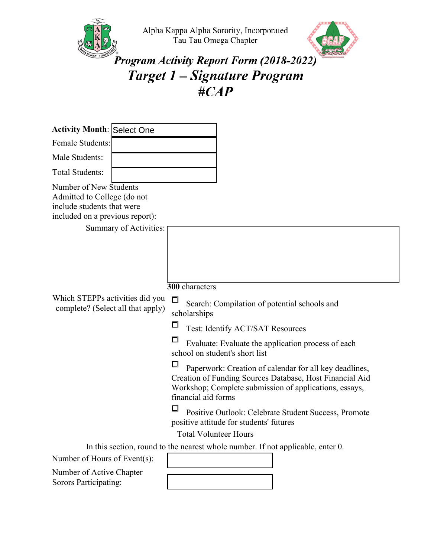



## Program Activity Report Form (2018-2022) Target 1 - Signature Program #CAP

| <b>Activity Month: Select One</b>                                                                                      |                        |                                                                                                                                                                                                                                |
|------------------------------------------------------------------------------------------------------------------------|------------------------|--------------------------------------------------------------------------------------------------------------------------------------------------------------------------------------------------------------------------------|
| <b>Female Students:</b>                                                                                                |                        |                                                                                                                                                                                                                                |
| Male Students:                                                                                                         |                        |                                                                                                                                                                                                                                |
| <b>Total Students:</b>                                                                                                 |                        |                                                                                                                                                                                                                                |
| Number of New Students<br>Admitted to College (do not<br>include students that were<br>included on a previous report): |                        |                                                                                                                                                                                                                                |
|                                                                                                                        | Summary of Activities: |                                                                                                                                                                                                                                |
| Which STEPPs activities did you<br>complete? (Select all that apply)                                                   |                        | 300 characters<br>$\Box$<br>Search: Compilation of potential schools and<br>scholarships<br>□<br>Test: Identify ACT/SAT Resources<br>□<br>Evaluate: Evaluate the application process of each<br>school on student's short list |
|                                                                                                                        |                        | ⊡<br>Paperwork: Creation of calendar for all key deadlines,<br>Creation of Funding Sources Database, Host Financial Aid<br>Workshop; Complete submission of applications, essays,<br>financial aid forms                       |
|                                                                                                                        |                        | □<br>Positive Outlook: Celebrate Student Success, Promote<br>positive attitude for students' futures                                                                                                                           |
|                                                                                                                        |                        | <b>Total Volunteer Hours</b>                                                                                                                                                                                                   |
|                                                                                                                        |                        | In this section, round to the nearest whole number. If not applicable, enter 0.                                                                                                                                                |
| Number of Hours of Event(s):                                                                                           |                        |                                                                                                                                                                                                                                |

Number of Active Chapter Sorors Participating: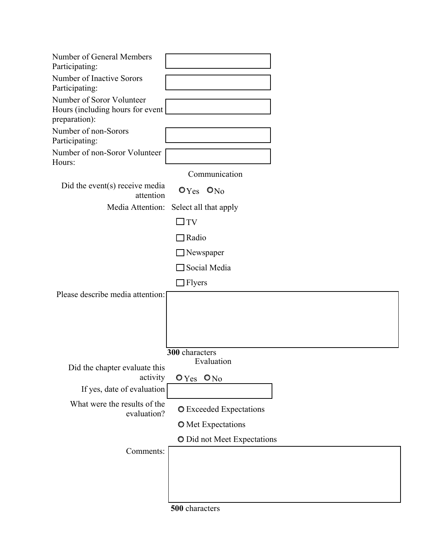| Number of General Members<br>Participating:                                    |                                  |
|--------------------------------------------------------------------------------|----------------------------------|
| Number of Inactive Sorors<br>Participating:                                    |                                  |
| Number of Soror Volunteer<br>Hours (including hours for event<br>preparation): |                                  |
| Number of non-Sorors<br>Participating:                                         |                                  |
| Number of non-Soror Volunteer<br>Hours:                                        |                                  |
|                                                                                | Communication                    |
| Did the event $(s)$ receive media<br>attention                                 | O <sub>Yes</sub> O <sub>No</sub> |
| Media Attention:                                                               | Select all that apply            |
|                                                                                | $\square$ TV                     |
|                                                                                | $\Box$ Radio                     |
|                                                                                | $\Box$ Newspaper                 |
|                                                                                | $\Box$ Social Media              |
|                                                                                | $\Box$ Flyers                    |
| Please describe media attention:                                               |                                  |
|                                                                                |                                  |
|                                                                                |                                  |
|                                                                                |                                  |
|                                                                                |                                  |
|                                                                                | 300 characters<br>Evaluation     |
| Did the chapter evaluate this<br>activity                                      | $O$ Yes $O$ No                   |
| If yes, date of evaluation                                                     |                                  |
| What were the results of the                                                   |                                  |
| evaluation?                                                                    | <b>O</b> Exceeded Expectations   |
|                                                                                | <b>O</b> Met Expectations        |
|                                                                                | O Did not Meet Expectations      |
| Comments:                                                                      |                                  |
|                                                                                |                                  |
|                                                                                |                                  |
|                                                                                |                                  |
|                                                                                |                                  |

**500** characters